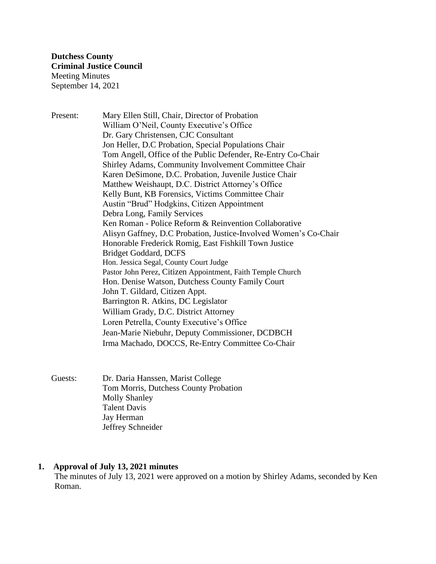Present: Mary Ellen Still, Chair, Director of Probation William O'Neil, County Executive's Office Dr. Gary Christensen, CJC Consultant Jon Heller, D.C Probation, Special Populations Chair Tom Angell, Office of the Public Defender, Re-Entry Co-Chair Shirley Adams, Community Involvement Committee Chair Karen DeSimone, D.C. Probation, Juvenile Justice Chair Matthew Weishaupt, D.C. District Attorney's Office Kelly Bunt, KB Forensics, Victims Committee Chair Austin "Brud" Hodgkins, Citizen Appointment Debra Long, Family Services Ken Roman - Police Reform & Reinvention Collaborative Alisyn Gaffney, D.C Probation, Justice-Involved Women's Co-Chair Honorable Frederick Romig, East Fishkill Town Justice Bridget Goddard, DCFS Hon. Jessica Segal, County Court Judge Pastor John Perez, Citizen Appointment, Faith Temple Church Hon. Denise Watson, Dutchess County Family Court John T. Gildard, Citizen Appt. Barrington R. Atkins, DC Legislator William Grady, D.C. District Attorney Loren Petrella, County Executive's Office Jean-Marie Niebuhr, Deputy Commissioner, DCDBCH Irma Machado, DOCCS, Re-Entry Committee Co-Chair

Guests: Dr. Daria Hanssen, Marist College Tom Morris, Dutchess County Probation Molly Shanley Talent Davis Jay Herman Jeffrey Schneider

### **1. Approval of July 13, 2021 minutes**

The minutes of July 13, 2021 were approved on a motion by Shirley Adams, seconded by Ken Roman.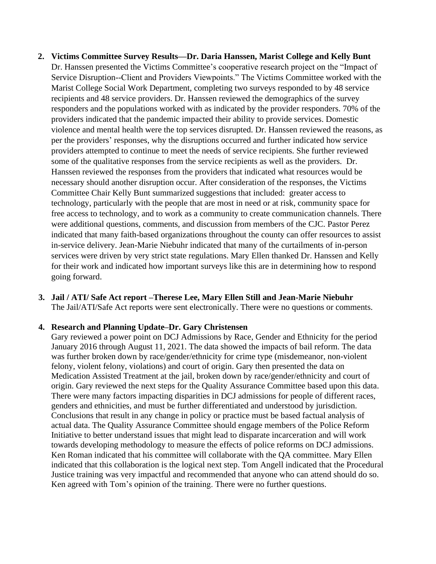**2. Victims Committee Survey Results—Dr. Daria Hanssen, Marist College and Kelly Bunt** Dr. Hanssen presented the Victims Committee's cooperative research project on the "Impact of Service Disruption--Client and Providers Viewpoints." The Victims Committee worked with the Marist College Social Work Department, completing two surveys responded to by 48 service recipients and 48 service providers. Dr. Hanssen reviewed the demographics of the survey responders and the populations worked with as indicated by the provider responders. 70% of the providers indicated that the pandemic impacted their ability to provide services. Domestic violence and mental health were the top services disrupted. Dr. Hanssen reviewed the reasons, as per the providers' responses, why the disruptions occurred and further indicated how service providers attempted to continue to meet the needs of service recipients. She further reviewed some of the qualitative responses from the service recipients as well as the providers. Dr. Hanssen reviewed the responses from the providers that indicated what resources would be necessary should another disruption occur. After consideration of the responses, the Victims Committee Chair Kelly Bunt summarized suggestions that included: greater access to technology, particularly with the people that are most in need or at risk, community space for free access to technology, and to work as a community to create communication channels. There were additional questions, comments, and discussion from members of the CJC. Pastor Perez indicated that many faith-based organizations throughout the county can offer resources to assist in-service delivery. Jean-Marie Niebuhr indicated that many of the curtailments of in-person services were driven by very strict state regulations. Mary Ellen thanked Dr. Hanssen and Kelly for their work and indicated how important surveys like this are in determining how to respond going forward.

# **3. Jail / ATI/ Safe Act report –Therese Lee, Mary Ellen Still and Jean-Marie Niebuhr**

The Jail/ATI/Safe Act reports were sent electronically. There were no questions or comments.

### **4. Research and Planning Update–Dr. Gary Christensen**

Gary reviewed a power point on DCJ Admissions by Race, Gender and Ethnicity for the period January 2016 through August 11, 2021. The data showed the impacts of bail reform. The data was further broken down by race/gender/ethnicity for crime type (misdemeanor, non-violent felony, violent felony, violations) and court of origin. Gary then presented the data on Medication Assisted Treatment at the jail, broken down by race/gender/ethnicity and court of origin. Gary reviewed the next steps for the Quality Assurance Committee based upon this data. There were many factors impacting disparities in DCJ admissions for people of different races, genders and ethnicities, and must be further differentiated and understood by jurisdiction. Conclusions that result in any change in policy or practice must be based factual analysis of actual data. The Quality Assurance Committee should engage members of the Police Reform Initiative to better understand issues that might lead to disparate incarceration and will work towards developing methodology to measure the effects of police reforms on DCJ admissions. Ken Roman indicated that his committee will collaborate with the QA committee. Mary Ellen indicated that this collaboration is the logical next step. Tom Angell indicated that the Procedural Justice training was very impactful and recommended that anyone who can attend should do so. Ken agreed with Tom's opinion of the training. There were no further questions.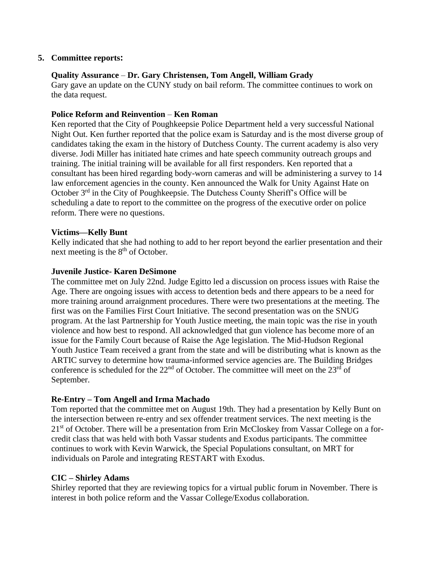### **5. Committee reports:**

### **Quality Assurance** – **Dr. Gary Christensen, Tom Angell, William Grady**

Gary gave an update on the CUNY study on bail reform. The committee continues to work on the data request.

### **Police Reform and Reinvention** – **Ken Roman**

Ken reported that the City of Poughkeepsie Police Department held a very successful National Night Out. Ken further reported that the police exam is Saturday and is the most diverse group of candidates taking the exam in the history of Dutchess County. The current academy is also very diverse. Jodi Miller has initiated hate crimes and hate speech community outreach groups and training. The initial training will be available for all first responders. Ken reported that a consultant has been hired regarding body-worn cameras and will be administering a survey to 14 law enforcement agencies in the county. Ken announced the Walk for Unity Against Hate on October 3rd in the City of Poughkeepsie. The Dutchess County Sheriff's Office will be scheduling a date to report to the committee on the progress of the executive order on police reform. There were no questions.

### **Victims—Kelly Bunt**

Kelly indicated that she had nothing to add to her report beyond the earlier presentation and their next meeting is the  $8<sup>th</sup>$  of October.

#### **Juvenile Justice- Karen DeSimone**

The committee met on July 22nd. Judge Egitto led a discussion on process issues with Raise the Age. There are ongoing issues with access to detention beds and there appears to be a need for more training around arraignment procedures. There were two presentations at the meeting. The first was on the Families First Court Initiative. The second presentation was on the SNUG program. At the last Partnership for Youth Justice meeting, the main topic was the rise in youth violence and how best to respond. All acknowledged that gun violence has become more of an issue for the Family Court because of Raise the Age legislation. The Mid-Hudson Regional Youth Justice Team received a grant from the state and will be distributing what is known as the ARTIC survey to determine how trauma-informed service agencies are. The Building Bridges conference is scheduled for the  $22<sup>nd</sup>$  of October. The committee will meet on the  $23<sup>rd</sup>$  of September.

### **Re-Entry – Tom Angell and Irma Machado**

Tom reported that the committee met on August 19th. They had a presentation by Kelly Bunt on the intersection between re-entry and sex offender treatment services. The next meeting is the 21<sup>st</sup> of October. There will be a presentation from Erin McCloskey from Vassar College on a forcredit class that was held with both Vassar students and Exodus participants. The committee continues to work with Kevin Warwick, the Special Populations consultant, on MRT for individuals on Parole and integrating RESTART with Exodus.

### **CIC – Shirley Adams**

Shirley reported that they are reviewing topics for a virtual public forum in November. There is interest in both police reform and the Vassar College/Exodus collaboration.